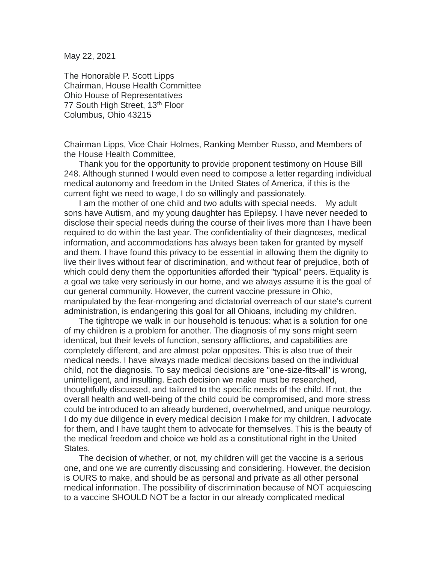May 22, 2021

The Honorable P. Scott Lipps Chairman, House Health Committee Ohio House of Representatives 77 South High Street, 13<sup>th</sup> Floor Columbus, Ohio 43215

Chairman Lipps, Vice Chair Holmes, Ranking Member Russo, and Members of the House Health Committee,

Thank you for the opportunity to provide proponent testimony on House Bill 248. Although stunned I would even need to compose a letter regarding individual medical autonomy and freedom in the United States of America, if this is the current fight we need to wage, I do so willingly and passionately.

I am the mother of one child and two adults with special needs. My adult sons have Autism, and my young daughter has Epilepsy. I have never needed to disclose their special needs during the course of their lives more than I have been required to do within the last year. The confidentiality of their diagnoses, medical information, and accommodations has always been taken for granted by myself and them. I have found this privacy to be essential in allowing them the dignity to live their lives without fear of discrimination, and without fear of prejudice, both of which could deny them the opportunities afforded their "typical" peers. Equality is a goal we take very seriously in our home, and we always assume it is the goal of our general community. However, the current vaccine pressure in Ohio, manipulated by the fear-mongering and dictatorial overreach of our state's current administration, is endangering this goal for all Ohioans, including my children.

The tightrope we walk in our household is tenuous: what is a solution for one of my children is a problem for another. The diagnosis of my sons might seem identical, but their levels of function, sensory afflictions, and capabilities are completely different, and are almost polar opposites. This is also true of their medical needs. I have always made medical decisions based on the individual child, not the diagnosis. To say medical decisions are "one-size-fits-all" is wrong, unintelligent, and insulting. Each decision we make must be researched, thoughtfully discussed, and tailored to the specific needs of the child. If not, the overall health and well-being of the child could be compromised, and more stress could be introduced to an already burdened, overwhelmed, and unique neurology. I do my due diligence in every medical decision I make for my children, I advocate for them, and I have taught them to advocate for themselves. This is the beauty of the medical freedom and choice we hold as a constitutional right in the United States.

The decision of whether, or not, my children will get the vaccine is a serious one, and one we are currently discussing and considering. However, the decision is OURS to make, and should be as personal and private as all other personal medical information. The possibility of discrimination because of NOT acquiescing to a vaccine SHOULD NOT be a factor in our already complicated medical